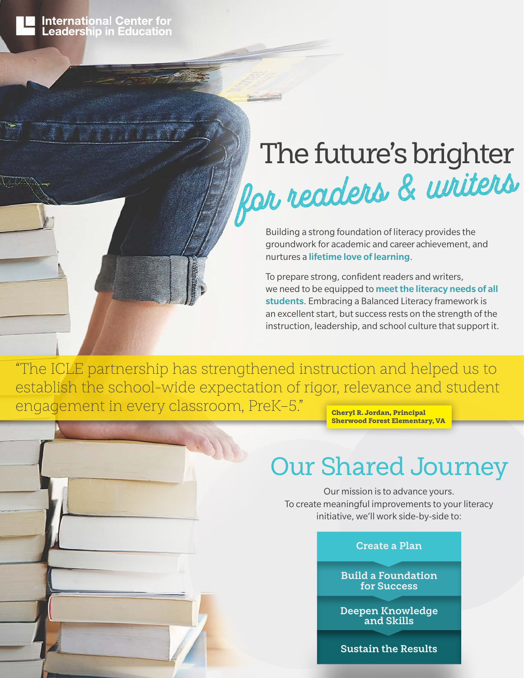

# The future's brighter for readers & writers

Building a strong foundation of literacy provides the groundwork for academic and career achievement, and nurtures a lifetime love of learning.

To prepare strong, confident readers and writers, we need to be equipped to meet the literacy needs of all students. Embracing a Balanced Literacy framework is an excellent start, but success rests on the strength of the instruction, leadership, and school culture that support it.

"The ICLE partnership has strengthened instruction and helped us to establish the school-wide expectation of rigor, relevance and student engagement in every classroom, PreK-5." Cheryl R. Jordan, Principal

Sherwood Forest Elementary, VA

### Our Shared Journey

Our mission is to advance yours. To create meaningful improvements to your literacy initiative, we'll work side-by-side to:

#### **Create a Plan**

**Build a Foundation for Success**

**Deepen Knowledge and Skills**

**Sustain the Results**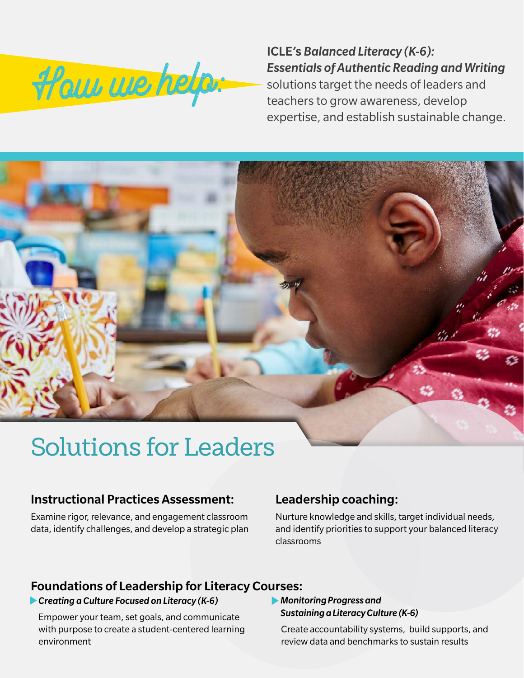

ICLE's *Balanced Literacy (K-6): Essentials of Authentic Reading and Writing* solutions target the needs of leaders and teachers to grow awareness, develop expertise, and establish sustainable change.

## Solutions for Leaders

#### Instructional Practices Assessment:

Examine rigor, relevance, and engagement classroom data, identify challenges, and develop a strategic plan

### Leadership coaching:

Nurture knowledge and skills, target individual needs, and identify priorities to support your balanced literacy classrooms

#### Foundations of Leadership for Literacy Courses:

#### *Creating a Culture Focused on Literacy (K-6)*

Empower your team, set goals, and communicate with purpose to create a student-centered learning environment

#### *Monitoring Progress and Sustaining a Literacy Culture (K-6)*

Create accountability systems, build supports, and review data and benchmarks to sustain results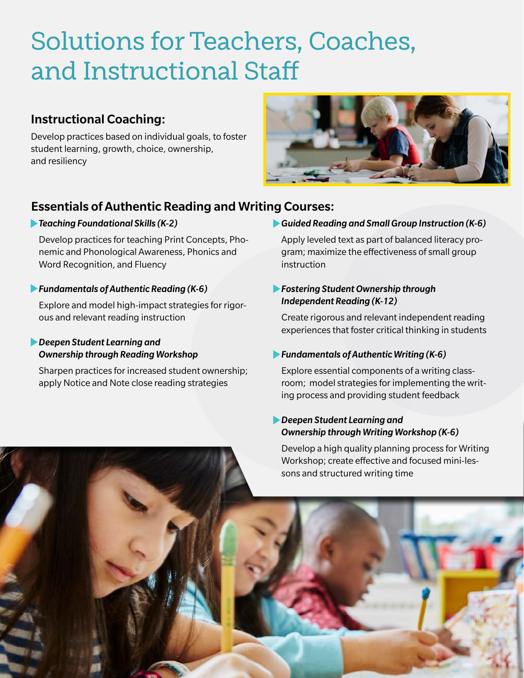## Solutions for Teachers, Coaches, and Instructional Staff

### Instructional Coaching:

Develop practices based on individual goals, to foster student learning, growth, choice, ownership, and resiliency



### Essentials of Authentic Reading and Writing Courses:

#### *Teaching Foundational Skills (K-2)*

Develop practices for teaching Print Concepts, Phonemic and Phonological Awareness, Phonics and Word Recognition, and Fluency

#### *Fundamentals of Authentic Reading (K-6)*

Explore and model high-impact strategies for rigorous and relevant reading instruction

#### *Deepen Student Learning and Ownership through Reading Workshop*

Sharpen practices for increased student ownership; apply Notice and Note close reading strategies

#### *Guided Reading and Small Group Instruction (K-6)*

Apply leveled text as part of balanced literacy program; maximize the effectiveness of small group instruction

#### *Fostering Student Ownership through Independent Reading (K-12)*

Create rigorous and relevant independent reading experiences that foster critical thinking in students

#### *Fundamentals of Authentic Writing (K-6)*

Explore essential components of a writing classroom; model strategies for implementing the writing process and providing student feedback

#### *Deepen Student Learning and Ownership through Writing Workshop (K-6)*

Develop a high quality planning process for Writing Workshop; create effective and focused mini-les-